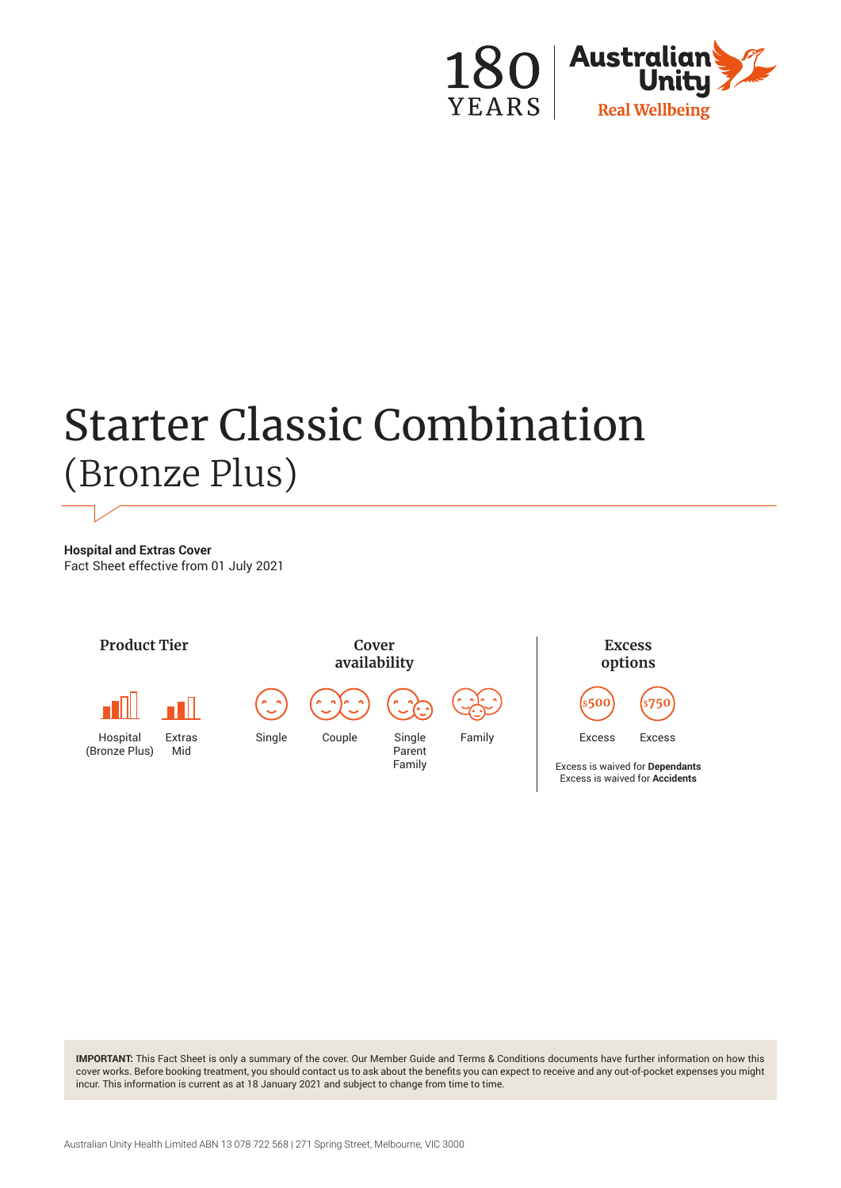

# Starter Classic Combination (Bronze Plus)

**Hospital and Extras Cover** Fact Sheet effective from 01 July 2021



**IMPORTANT:** This Fact Sheet is only a summary of the cover. Our Member Guide and Terms & Conditions documents have further information on how this cover works. Before booking treatment, you should contact us to ask about the benefits you can expect to receive and any out-of-pocket expenses you might incur. This information is current as at 18 January 2021 and subject to change from time to time.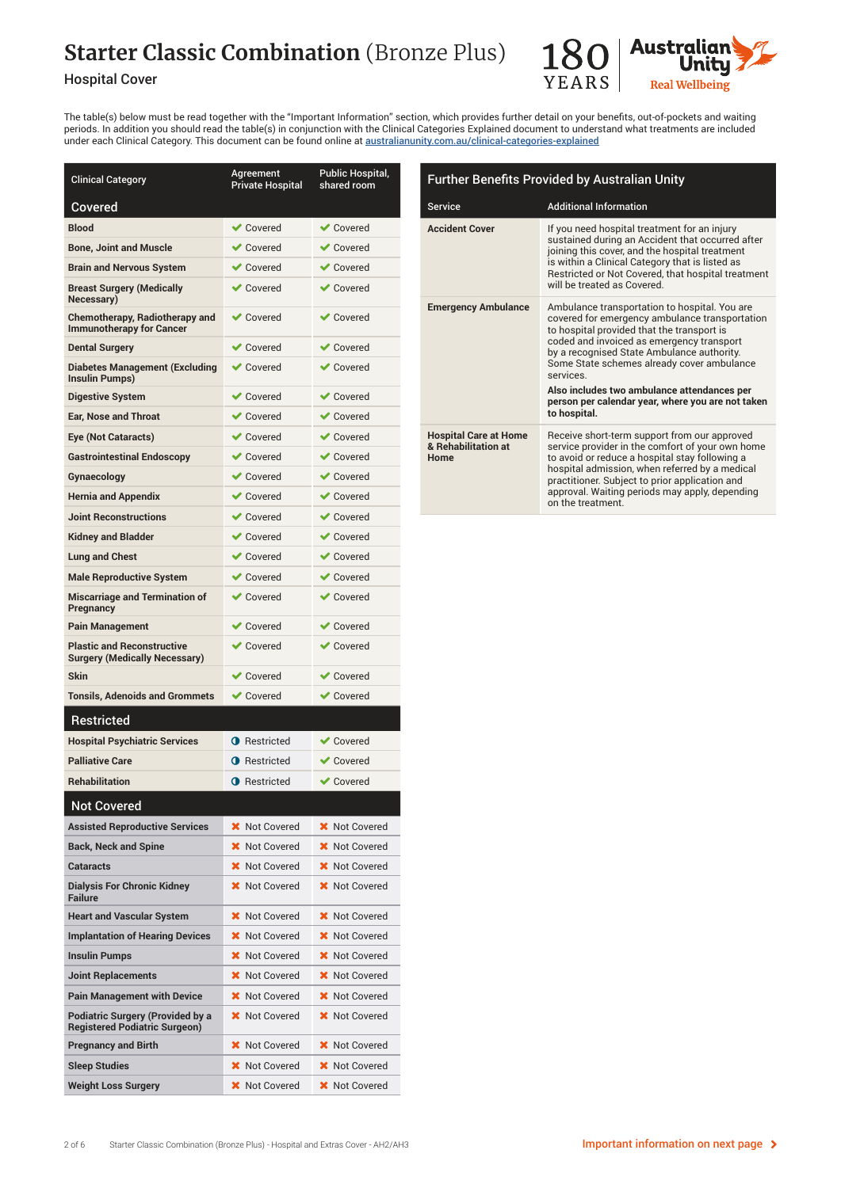# **Starter Classic Combination** (Bronze Plus)

### Hospital Cover



The table(s) below must be read together with the "Important Information" section, which provides further detail on your benefits, out-of-pockets and waiting periods. In addition you should read the table(s) in conjunction with the Clinical Categories Explained document to understand what treatments are included under each Clinical Category. This document can be found online at [australianunity.com.au/clinical-categories-explained](http://australianunity.com.au/clinical-categories-explained)

| <b>Clinical Category</b>                                                        | Agreement<br><b>Private Hospital</b> | Public Hospital,<br>shared room |
|---------------------------------------------------------------------------------|--------------------------------------|---------------------------------|
| Covered                                                                         |                                      |                                 |
| <b>Blood</b>                                                                    | $\blacktriangleright$ Covered        | $\vee$ Covered                  |
| <b>Bone, Joint and Muscle</b>                                                   | <b>√</b> Covered                     | $\vee$ Covered                  |
| <b>Brain and Nervous System</b>                                                 | <b>◆</b> Covered                     | $\vee$ Covered                  |
| <b>Breast Surgery (Medically</b><br>Necessary)                                  | $\blacktriangleright$ Covered        | $\blacktriangleright$ Covered   |
| <b>Chemotherapy, Radiotherapy and</b><br><b>Immunotherapy for Cancer</b>        | $\vee$ Covered                       | <b>√</b> Covered                |
| <b>Dental Surgery</b>                                                           | $\blacktriangleright$ Covered        | $\blacktriangleright$ Covered   |
| <b>Diabetes Management (Excluding</b><br>Insulin Pumps)                         | <b>◆</b> Covered                     | $\vee$ Covered                  |
| <b>Digestive System</b>                                                         | <b>√</b> Covered                     | $\vee$ Covered                  |
| <b>Ear, Nose and Throat</b>                                                     | <b>◆</b> Covered                     | $\vee$ Covered                  |
| Eye (Not Cataracts)                                                             | <b>◆</b> Covered                     | $\vee$ Covered                  |
| <b>Gastrointestinal Endoscopy</b>                                               | $\blacktriangleright$ Covered        | $\blacktriangleright$ Covered   |
| Gynaecology                                                                     | <b>◆</b> Covered                     | $\vee$ Covered                  |
| <b>Hernia and Appendix</b>                                                      | $\vee$ Covered                       | $\vee$ Covered                  |
| <b>Joint Reconstructions</b>                                                    | <b>◆</b> Covered                     | $\vee$ Covered                  |
| <b>Kidney and Bladder</b>                                                       | <b>◆</b> Covered                     | $\vee$ Covered                  |
| <b>Lung and Chest</b>                                                           | $\vee$ Covered                       | $\vee$ Covered                  |
| <b>Male Reproductive System</b>                                                 | $\blacktriangleright$ Covered        | $\vee$ Covered                  |
| <b>Miscarriage and Termination of</b><br>Pregnancy                              | $\blacktriangleright$ Covered        | $\blacktriangleright$ Covered   |
| <b>Pain Management</b>                                                          | $\vee$ Covered                       | <b>√</b> Covered                |
| <b>Plastic and Reconstructive</b><br><b>Surgery (Medically Necessary)</b>       | <b>◆</b> Covered                     | $\vee$ Covered                  |
| <b>Skin</b>                                                                     | <b>↓</b> Covered                     | <b>↓</b> Covered                |
| <b>Tonsils, Adenoids and Grommets</b>                                           | <b>◆</b> Covered                     | $\vee$ Covered                  |
| Restricted                                                                      |                                      |                                 |
| <b>Hospital Psychiatric Services</b>                                            | <b>O</b> Restricted                  | <b>◆</b> Covered                |
| <b>Palliative Care</b>                                                          | <b>O</b> Restricted                  | $\blacktriangleright$ Covered   |
| <b>Rehabilitation</b>                                                           | <b>O</b> Restricted                  | $\vee$ Covered                  |
| <b>Not Covered</b>                                                              |                                      |                                 |
| <b>Assisted Reproductive Services</b>                                           | <b>X</b> Not Covered                 | <b>X</b> Not Covered            |
| <b>Back, Neck and Spine</b>                                                     | Not Covered<br>x                     | Not Covered<br>x                |
| Cataracts                                                                       | <b>X</b> Not Covered                 | Not Covered<br>×                |
| <b>Dialysis For Chronic Kidney</b><br><b>Failure</b>                            | <b>X</b> Not Covered                 | <b>X</b> Not Covered            |
| <b>Heart and Vascular System</b>                                                | Not Covered<br>x                     | Not Covered                     |
| <b>Implantation of Hearing Devices</b>                                          | <b>X</b> Not Covered                 | Not Covered<br>×                |
| <b>Insulin Pumps</b>                                                            | X Not Covered                        | Not Covered<br>x                |
| <b>Joint Replacements</b>                                                       | Not Covered                          | <b>Not Covered</b>              |
| <b>Pain Management with Device</b>                                              | <b>X</b> Not Covered                 | Not Covered                     |
| <b>Podiatric Surgery (Provided by a</b><br><b>Registered Podiatric Surgeon)</b> | Not Covered                          | <b>Not Covered</b>              |
| <b>Pregnancy and Birth</b>                                                      | <b>Not Covered</b><br>x              | Not Covered<br>x                |
| <b>Sleep Studies</b>                                                            | Not Covered                          | Not Covered<br>х                |
| <b>Weight Loss Surgery</b>                                                      | <b>X</b> Not Covered                 | <b>X</b> Not Covered            |

| <b>Further Benefits Provided by Australian Unity</b>        |                                                                                                                                                                                                                                                                                                                                                                                                                        |  |
|-------------------------------------------------------------|------------------------------------------------------------------------------------------------------------------------------------------------------------------------------------------------------------------------------------------------------------------------------------------------------------------------------------------------------------------------------------------------------------------------|--|
| <b>Service</b>                                              | <b>Additional Information</b>                                                                                                                                                                                                                                                                                                                                                                                          |  |
| <b>Accident Cover</b>                                       | If you need hospital treatment for an injury<br>sustained during an Accident that occurred after<br>joining this cover, and the hospital treatment<br>is within a Clinical Category that is listed as<br>Restricted or Not Covered, that hospital treatment<br>will be treated as Covered.                                                                                                                             |  |
| <b>Emergency Ambulance</b>                                  | Ambulance transportation to hospital. You are<br>covered for emergency ambulance transportation<br>to hospital provided that the transport is<br>coded and invoiced as emergency transport<br>by a recognised State Ambulance authority.<br>Some State schemes already cover ambulance<br>services<br>Also includes two ambulance attendances per<br>person per calendar year, where you are not taken<br>to hospital. |  |
| <b>Hospital Care at Home</b><br>& Rehabilitation at<br>Home | Receive short-term support from our approved<br>service provider in the comfort of your own home<br>to avoid or reduce a hospital stay following a<br>hospital admission, when referred by a medical<br>practitioner. Subject to prior application and<br>approval. Waiting periods may apply, depending<br>on the treatment.                                                                                          |  |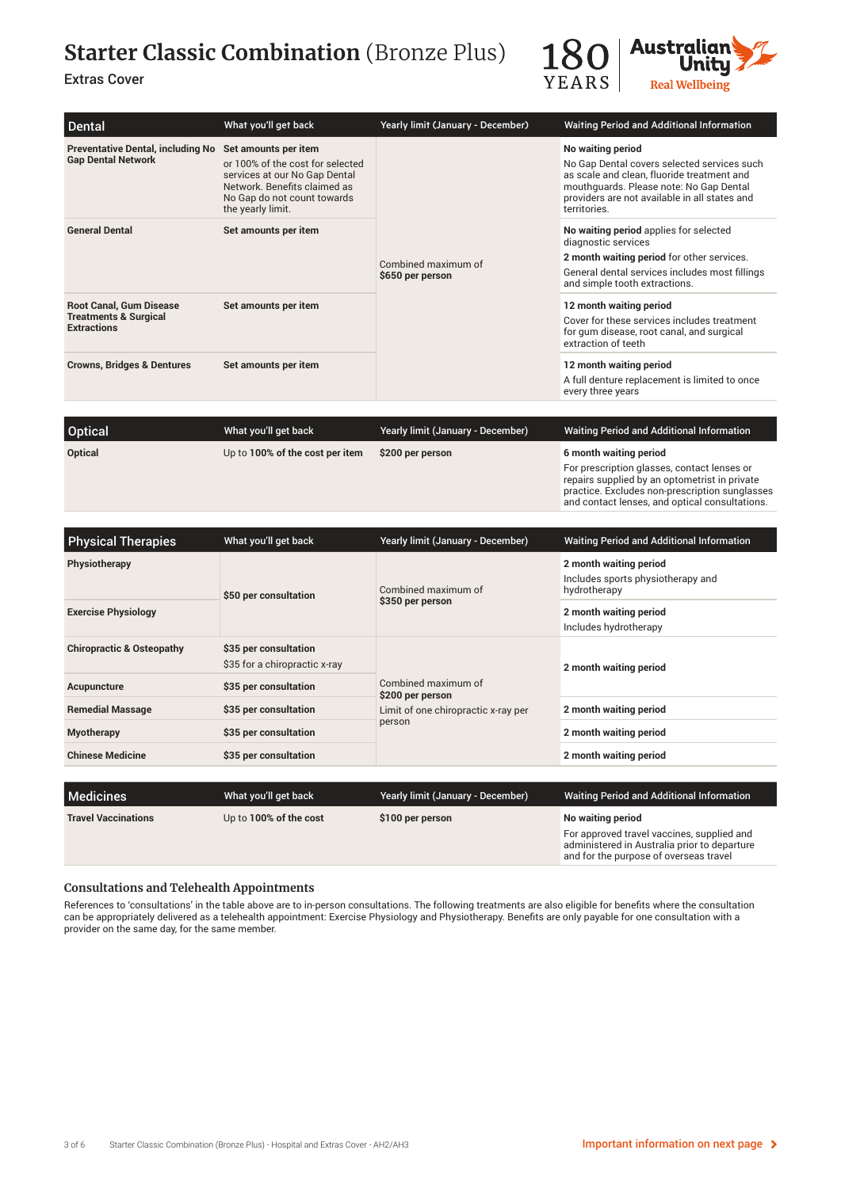# **Starter Classic Combination** (Bronze Plus)

### Extras Cover



and contact lenses, and optical consultations.

| <b>Dental</b>                                                                            | What you'll get back                                                                                                                                                          | Yearly limit (January - December)       | Waiting Period and Additional Information                                                                                                                                                                                  |
|------------------------------------------------------------------------------------------|-------------------------------------------------------------------------------------------------------------------------------------------------------------------------------|-----------------------------------------|----------------------------------------------------------------------------------------------------------------------------------------------------------------------------------------------------------------------------|
| <b>Preventative Dental, including No</b><br><b>Gap Dental Network</b>                    | Set amounts per item<br>or 100% of the cost for selected<br>services at our No Gap Dental<br>Network. Benefits claimed as<br>No Gap do not count towards<br>the yearly limit. | Combined maximum of<br>\$650 per person | No waiting period<br>No Gap Dental covers selected services such<br>as scale and clean, fluoride treatment and<br>mouthquards. Please note: No Gap Dental<br>providers are not available in all states and<br>territories. |
| <b>General Dental</b>                                                                    | Set amounts per item                                                                                                                                                          |                                         | No waiting period applies for selected<br>diagnostic services<br>2 month waiting period for other services.<br>General dental services includes most fillings<br>and simple tooth extractions.                             |
| <b>Root Canal, Gum Disease</b><br><b>Treatments &amp; Surgical</b><br><b>Extractions</b> | Set amounts per item                                                                                                                                                          |                                         | 12 month waiting period<br>Cover for these services includes treatment<br>for gum disease, root canal, and surgical<br>extraction of teeth                                                                                 |
| <b>Crowns, Bridges &amp; Dentures</b>                                                    | Set amounts per item                                                                                                                                                          |                                         | 12 month waiting period<br>A full denture replacement is limited to once<br>every three years                                                                                                                              |

| <b>Optical</b> | What you'll get back            | Yearly limit (January - December) | <b>Waiting Period and Additional Information</b>                                                                                               |
|----------------|---------------------------------|-----------------------------------|------------------------------------------------------------------------------------------------------------------------------------------------|
|                |                                 |                                   |                                                                                                                                                |
| Optical        | Up to 100% of the cost per item | \$200 per person                  | 6 month waiting period                                                                                                                         |
|                |                                 |                                   | For prescription glasses, contact lenses or<br>repairs supplied by an optometrist in private<br>practice. Excludes non-prescription sunglasses |

| <b>Physical Therapies</b>            | What you'll get back                                   | Yearly limit (January - December)                                                        | <b>Waiting Period and Additional Information</b>                            |
|--------------------------------------|--------------------------------------------------------|------------------------------------------------------------------------------------------|-----------------------------------------------------------------------------|
| <b>Physiotherapy</b>                 | \$50 per consultation                                  | Combined maximum of<br>\$350 per person                                                  | 2 month waiting period<br>Includes sports physiotherapy and<br>hydrotherapy |
| <b>Exercise Physiology</b>           |                                                        |                                                                                          | 2 month waiting period<br>Includes hydrotherapy                             |
| <b>Chiropractic &amp; Osteopathy</b> | \$35 per consultation<br>\$35 for a chiropractic x-ray | Combined maximum of<br>\$200 per person<br>Limit of one chiropractic x-ray per<br>person | 2 month waiting period                                                      |
| Acupuncture                          | \$35 per consultation                                  |                                                                                          |                                                                             |
| <b>Remedial Massage</b>              | \$35 per consultation                                  |                                                                                          | 2 month waiting period                                                      |
| <b>Myotherapy</b>                    | \$35 per consultation                                  |                                                                                          | 2 month waiting period                                                      |
| <b>Chinese Medicine</b>              | \$35 per consultation                                  |                                                                                          | 2 month waiting period                                                      |
|                                      |                                                        |                                                                                          |                                                                             |
| Medicines                            | What you'll get back                                   | Yearly limit (January - December)                                                        | <b>Waiting Period and Additional Information</b>                            |

| <b>INIEGICITIES</b>        | <b>WHAT YOU II YOU DAVA</b> | <b>Teally Illilly (Jailual y - Decerribel)</b> | <b>Walthly Fellou and Additional Information</b>                                                                                     |
|----------------------------|-----------------------------|------------------------------------------------|--------------------------------------------------------------------------------------------------------------------------------------|
| <b>Travel Vaccinations</b> | Up to 100% of the cost      | \$100 per person                               | No waiting period                                                                                                                    |
|                            |                             |                                                | For approved travel vaccines, supplied and<br>administered in Australia prior to departure<br>and for the purpose of overseas travel |
|                            |                             |                                                |                                                                                                                                      |

### **Consultations and Telehealth Appointments**

References to 'consultations' in the table above are to in-person consultations. The following treatments are also eligible for benefits where the consultation can be appropriately delivered as a telehealth appointment: Exercise Physiology and Physiotherapy. Benefits are only payable for one consultation with a provider on the same day, for the same member.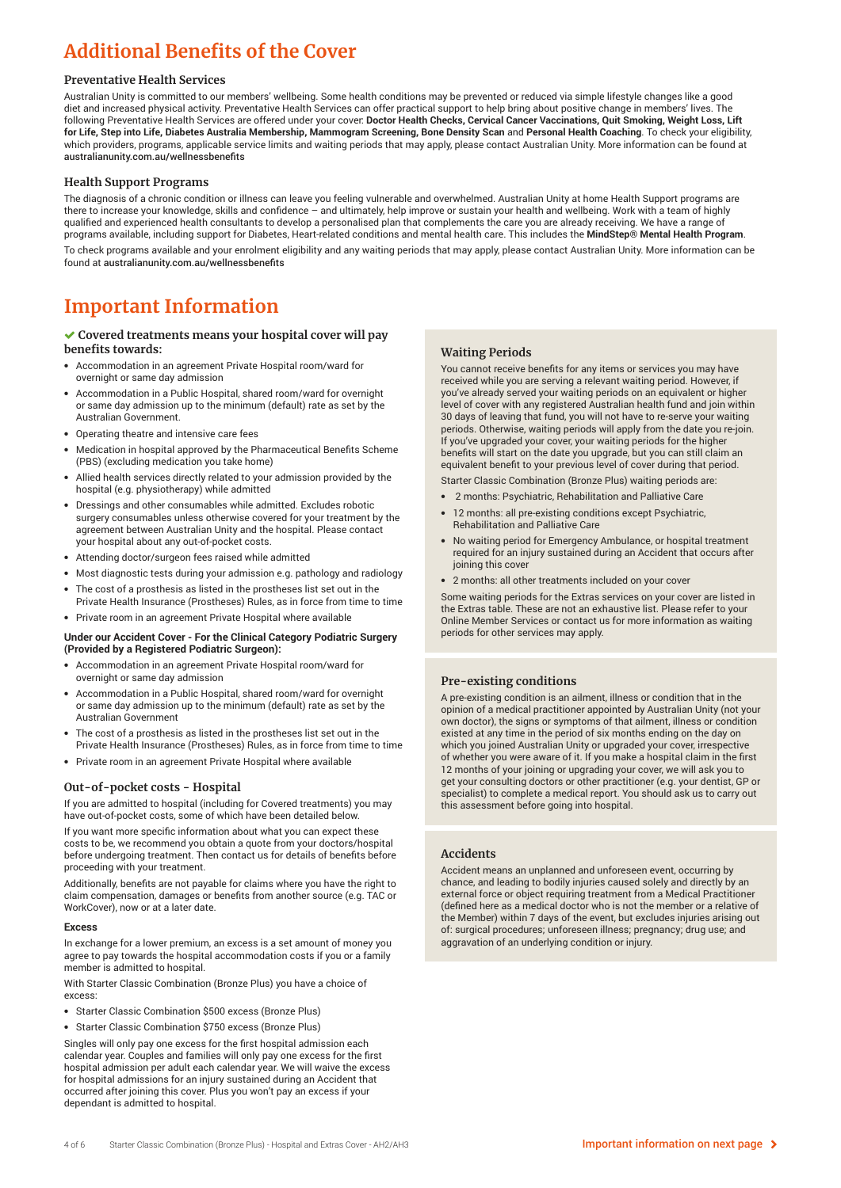## **Additional Benefits of the Cover**

#### **Preventative Health Services**

Australian Unity is committed to our members' wellbeing. Some health conditions may be prevented or reduced via simple lifestyle changes like a good diet and increased physical activity. Preventative Health Services can offer practical support to help bring about positive change in members' lives. The following Preventative Health Services are offered under your cover: **Doctor Health Checks, Cervical Cancer Vaccinations, Quit Smoking, Weight Loss, Lift for Life, Step into Life, Diabetes Australia Membership, Mammogram Screening, Bone Density Scan** and **Personal Health Coaching**. To check your eligibility, which providers, programs, applicable service limits and waiting periods that may apply, please contact Australian Unity. More information can be found at australianunity.com.au/wellnessbenefits

#### **Health Support Programs**

The diagnosis of a chronic condition or illness can leave you feeling vulnerable and overwhelmed. Australian Unity at home Health Support programs are there to increase your knowledge, skills and confidence – and ultimately, help improve or sustain your health and wellbeing. Work with a team of highly qualified and experienced health consultants to develop a personalised plan that complements the care you are already receiving. We have a range of programs available, including support for Diabetes, Heart-related conditions and mental health care. This includes the **MindStep® Mental Health Program**. To check programs available and your enrolment eligibility and any waiting periods that may apply, please contact Australian Unity. More information can be found at australianunity.com.au/wellnessbenefits

### **Important Information**

#### **Covered treatments means your hospital cover will pay benefits towards:**

- Accommodation in an agreement Private Hospital room/ward for overnight or same day admission
- Accommodation in a Public Hospital, shared room/ward for overnight or same day admission up to the minimum (default) rate as set by the Australian Government.
- Operating theatre and intensive care fees
- Medication in hospital approved by the Pharmaceutical Benefits Scheme (PBS) (excluding medication you take home)
- Allied health services directly related to your admission provided by the hospital (e.g. physiotherapy) while admitted
- Dressings and other consumables while admitted. Excludes robotic surgery consumables unless otherwise covered for your treatment by the agreement between Australian Unity and the hospital. Please contact your hospital about any out-of-pocket costs.
- Attending doctor/surgeon fees raised while admitted
- Most diagnostic tests during your admission e.g. pathology and radiology
- The cost of a prosthesis as listed in the prostheses list set out in the Private Health Insurance (Prostheses) Rules, as in force from time to time
- Private room in an agreement Private Hospital where available

#### **Under our Accident Cover - For the Clinical Category Podiatric Surgery (Provided by a Registered Podiatric Surgeon):**

- Accommodation in an agreement Private Hospital room/ward for overnight or same day admission
- Accommodation in a Public Hospital, shared room/ward for overnight or same day admission up to the minimum (default) rate as set by the Australian Government
- The cost of a prosthesis as listed in the prostheses list set out in the Private Health Insurance (Prostheses) Rules, as in force from time to time
- Private room in an agreement Private Hospital where available

#### **Out-of-pocket costs - Hospital**

If you are admitted to hospital (including for Covered treatments) you may have out-of-pocket costs, some of which have been detailed below.

If you want more specific information about what you can expect these costs to be, we recommend you obtain a quote from your doctors/hospital before undergoing treatment. Then contact us for details of benefits before proceeding with your treatment.

Additionally, benefits are not payable for claims where you have the right to claim compensation, damages or benefits from another source (e.g. TAC or WorkCover), now or at a later date.

#### **Excess**

In exchange for a lower premium, an excess is a set amount of money you agree to pay towards the hospital accommodation costs if you or a family member is admitted to hospital.

With Starter Classic Combination (Bronze Plus) you have a choice of excess:

- Starter Classic Combination \$500 excess (Bronze Plus)
- Starter Classic Combination \$750 excess (Bronze Plus)

Singles will only pay one excess for the first hospital admission each calendar year. Couples and families will only pay one excess for the first hospital admission per adult each calendar year. We will waive the excess for hospital admissions for an injury sustained during an Accident that occurred after joining this cover. Plus you won't pay an excess if your dependant is admitted to hospital.

#### **Waiting Periods**

You cannot receive benefits for any items or services you may have received while you are serving a relevant waiting period. However, if you've already served your waiting periods on an equivalent or higher level of cover with any registered Australian health fund and join within 30 days of leaving that fund, you will not have to re-serve your waiting periods. Otherwise, waiting periods will apply from the date you re-join. If you've upgraded your cover, your waiting periods for the higher benefits will start on the date you upgrade, but you can still claim an equivalent benefit to your previous level of cover during that period.

Starter Classic Combination (Bronze Plus) waiting periods are:

- 2 months: Psychiatric, Rehabilitation and Palliative Care
- 12 months: all pre-existing conditions except Psychiatric, Rehabilitation and Palliative Care
- No waiting period for Emergency Ambulance, or hospital treatment required for an injury sustained during an Accident that occurs after joining this cover
- 2 months: all other treatments included on your cover

Some waiting periods for the Extras services on your cover are listed in the Extras table. These are not an exhaustive list. Please refer to your Online Member Services or contact us for more information as waiting periods for other services may apply.

#### **Pre-existing conditions**

A pre-existing condition is an ailment, illness or condition that in the opinion of a medical practitioner appointed by Australian Unity (not your own doctor), the signs or symptoms of that ailment, illness or condition existed at any time in the period of six months ending on the day on which you joined Australian Unity or upgraded your cover, irrespective of whether you were aware of it. If you make a hospital claim in the first 12 months of your joining or upgrading your cover, we will ask you to get your consulting doctors or other practitioner (e.g. your dentist, GP or specialist) to complete a medical report. You should ask us to carry out this assessment before going into hospital.

#### **Accidents**

Accident means an unplanned and unforeseen event, occurring by chance, and leading to bodily injuries caused solely and directly by an external force or object requiring treatment from a Medical Practitioner (defined here as a medical doctor who is not the member or a relative of the Member) within 7 days of the event, but excludes injuries arising out of: surgical procedures; unforeseen illness; pregnancy; drug use; and aggravation of an underlying condition or injury.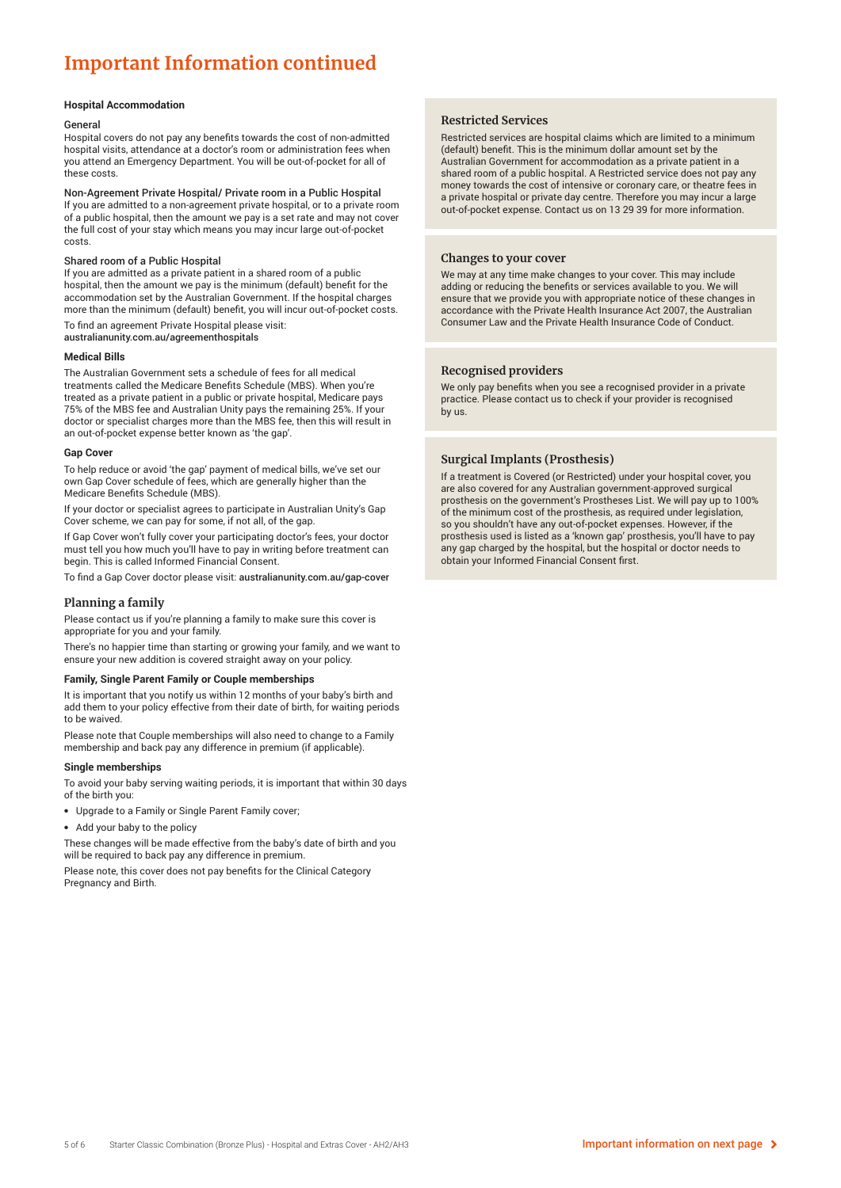## **Important Information continued**

#### **Hospital Accommodation**

#### General

Hospital covers do not pay any benefits towards the cost of non-admitted hospital visits, attendance at a doctor's room or administration fees when you attend an Emergency Department. You will be out-of-pocket for all of these costs.

Non-Agreement Private Hospital/ Private room in a Public Hospital If you are admitted to a non-agreement private hospital, or to a private room of a public hospital, then the amount we pay is a set rate and may not cover the full cost of your stay which means you may incur large out-of-pocket costs.

#### Shared room of a Public Hospital

If you are admitted as a private patient in a shared room of a public hospital, then the amount we pay is the minimum (default) benefit for the accommodation set by the Australian Government. If the hospital charges more than the minimum (default) benefit, you will incur out-of-pocket costs.

To find an agreement Private Hospital please visit: australianunity.com.au/agreementhospitals

#### **Medical Bills**

The Australian Government sets a schedule of fees for all medical treatments called the Medicare Benefits Schedule (MBS). When you're treated as a private patient in a public or private hospital, Medicare pays 75% of the MBS fee and Australian Unity pays the remaining 25%. If your doctor or specialist charges more than the MBS fee, then this will result in an out-of-pocket expense better known as 'the gap'.

#### **Gap Cover**

To help reduce or avoid 'the gap' payment of medical bills, we've set our own Gap Cover schedule of fees, which are generally higher than the Medicare Benefits Schedule (MBS).

If your doctor or specialist agrees to participate in Australian Unity's Gap Cover scheme, we can pay for some, if not all, of the gap.

If Gap Cover won't fully cover your participating doctor's fees, your doctor must tell you how much you'll have to pay in writing before treatment can begin. This is called Informed Financial Consent.

To find a Gap Cover doctor please visit: australianunity.com.au/gap-cover

#### **Planning a family**

Please contact us if you're planning a family to make sure this cover is appropriate for you and your family.

There's no happier time than starting or growing your family, and we want to ensure your new addition is covered straight away on your policy.

#### **Family, Single Parent Family or Couple memberships**

It is important that you notify us within 12 months of your baby's birth and add them to your policy effective from their date of birth, for waiting periods to be waived

Please note that Couple memberships will also need to change to a Family membership and back pay any difference in premium (if applicable).

#### **Single memberships**

To avoid your baby serving waiting periods, it is important that within 30 days of the birth you:

- Upgrade to a Family or Single Parent Family cover;
- Add your baby to the policy

These changes will be made effective from the baby's date of birth and you will be required to back pay any difference in premium.

Please note, this cover does not pay benefits for the Clinical Category Pregnancy and Birth.

#### **Restricted Services**

Restricted services are hospital claims which are limited to a minimum (default) benefit. This is the minimum dollar amount set by the Australian Government for accommodation as a private patient in a shared room of a public hospital. A Restricted service does not pay any money towards the cost of intensive or coronary care, or theatre fees in a private hospital or private day centre. Therefore you may incur a large out-of-pocket expense. Contact us on 13 29 39 for more information.

#### **Changes to your cover**

We may at any time make changes to your cover. This may include adding or reducing the benefits or services available to you. We will ensure that we provide you with appropriate notice of these changes in accordance with the Private Health Insurance Act 2007, the Australian Consumer Law and the Private Health Insurance Code of Conduct.

#### **Recognised providers**

We only pay benefits when you see a recognised provider in a private practice. Please contact us to check if your provider is recognised by us.

#### **Surgical Implants (Prosthesis)**

If a treatment is Covered (or Restricted) under your hospital cover, you are also covered for any Australian government-approved surgical prosthesis on the government's Prostheses List. We will pay up to 100% of the minimum cost of the prosthesis, as required under legislation, so you shouldn't have any out-of-pocket expenses. However, if the prosthesis used is listed as a 'known gap' prosthesis, you'll have to pay any gap charged by the hospital, but the hospital or doctor needs to obtain your Informed Financial Consent first.